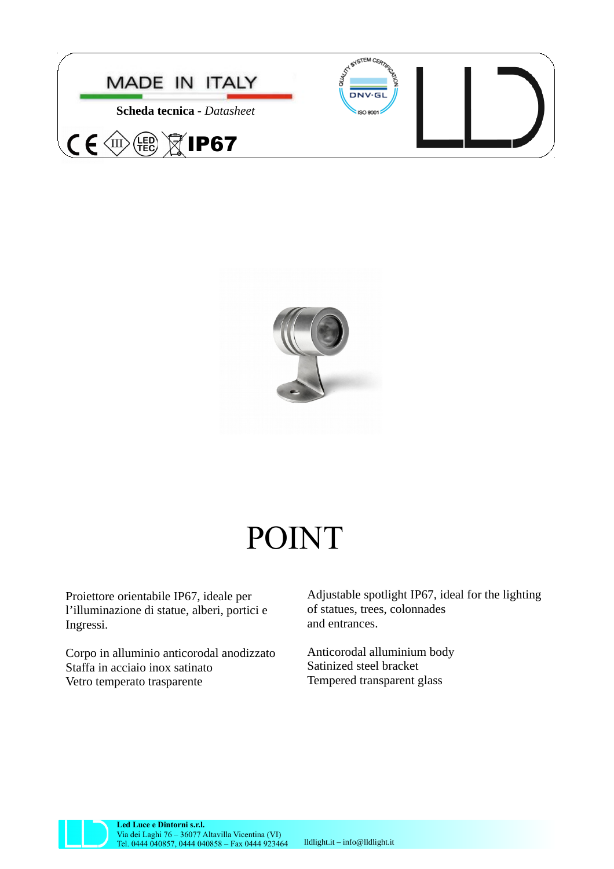



## POINT

Proiettore orientabile IP67, ideale per l'illuminazione di statue, alberi, portici e Ingressi.

Corpo in alluminio anticorodal anodizzato Staffa in acciaio inox satinato Vetro temperato trasparente

Adjustable spotlight IP67, ideal for the lighting of statues, trees, colonnades and entrances.

Anticorodal alluminium body Satinized steel bracket Tempered transparent glass



**Led Luce e Dintorni s.r.l.** Via dei Laghi 76 – 36077 Altavilla Vicentina (VI) Tel. 0444 040857, 0444 040858 – Fax 0444 923464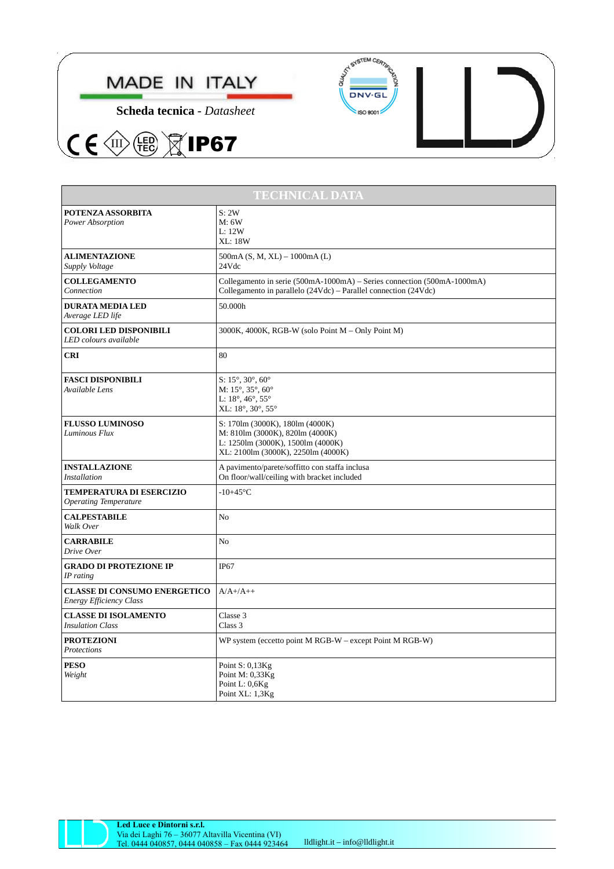

**Scheda tecnica** - *Datasheet*

(FED)

 $C \in \langle \mathbb{R} \rangle$ 

 $\widetilde{\boxtimes}$ IP67





| <b>TECHNICAL DATA</b>                                                 |                                                                                                                                                                |
|-----------------------------------------------------------------------|----------------------------------------------------------------------------------------------------------------------------------------------------------------|
| POTENZA ASSORBITA<br>Power Absorption                                 | S: 2W<br>M: 6W<br>L:12W<br><b>XL: 18W</b>                                                                                                                      |
| <b>ALIMENTAZIONE</b><br>Supply Voltage                                | $500mA$ (S, M, XL) – $1000mA$ (L)<br>24Vdc                                                                                                                     |
| <b>COLLEGAMENTO</b><br>Connection                                     | Collegamento in serie (500mA-1000mA) – Series connection (500mA-1000mA)<br>Collegamento in parallelo (24Vdc) – Parallel connection (24Vdc)                     |
| <b>DURATA MEDIA LED</b><br>Average LED life                           | 50.000h                                                                                                                                                        |
| <b>COLORI LED DISPONIBILI</b><br>LED colours available                | 3000K, 4000K, RGB-W (solo Point M - Only Point M)                                                                                                              |
| <b>CRI</b>                                                            | 80                                                                                                                                                             |
| <b>FASCI DISPONIBILI</b><br>Available Lens                            | $S: 15^{\circ}, 30^{\circ}, 60^{\circ}$<br>M: $15^{\circ}$ , $35^{\circ}$ , $60^{\circ}$<br>L: $18^{\circ}$ , $46^{\circ}$ , $55^{\circ}$<br>XL: 18°, 30°, 55° |
| <b>FLUSSO LUMINOSO</b><br>Luminous Flux                               | S: 170lm (3000K), 180lm (4000K)<br>M: 810lm (3000K), 820lm (4000K)<br>L: 1250lm (3000K), 1500lm (4000K)<br>XL: 2100lm (3000K), 2250lm (4000K)                  |
| <b>INSTALLAZIONE</b><br><b>Installation</b>                           | A pavimento/parete/soffitto con staffa inclusa<br>On floor/wall/ceiling with bracket included                                                                  |
| TEMPERATURA DI ESERCIZIO<br><b>Operating Temperature</b>              | $-10+45$ °C                                                                                                                                                    |
| <b>CALPESTABILE</b><br>Walk Over                                      | N <sub>0</sub>                                                                                                                                                 |
| <b>CARRABILE</b><br>Drive Over                                        | No                                                                                                                                                             |
| <b>GRADO DI PROTEZIONE IP</b><br>IP rating                            | IP <sub>67</sub>                                                                                                                                               |
| <b>CLASSE DI CONSUMO ENERGETICO</b><br><b>Energy Efficiency Class</b> | $A/A+/A++$                                                                                                                                                     |
| <b>CLASSE DI ISOLAMENTO</b><br><b>Insulation Class</b>                | Classe 3<br>Class 3                                                                                                                                            |
| <b>PROTEZIONI</b><br>Protections                                      | WP system (eccetto point M RGB-W – except Point M RGB-W)                                                                                                       |
| <b>PESO</b><br>Weight                                                 | Point S: 0,13Kg<br>Point M: 0,33Kg<br>Point L: 0,6Kg<br>Point XL: 1,3Kg                                                                                        |